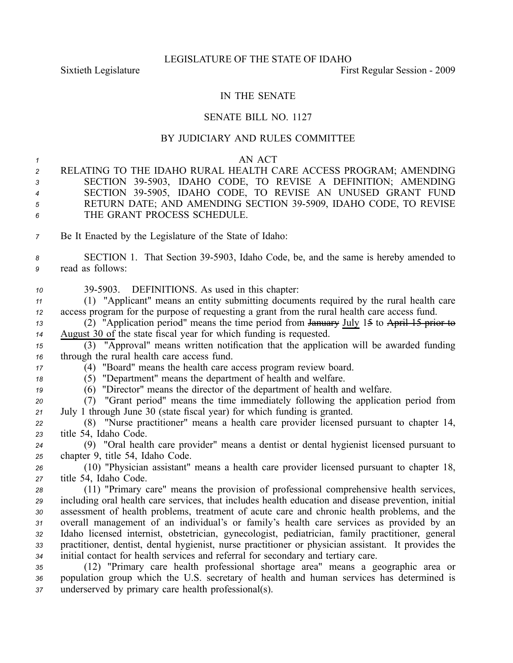## IN THE SENATE

## SENATE BILL NO. 1127

## BY JUDICIARY AND RULES COMMITTEE

## *1* AN ACT

*<sup>2</sup>* RELATING TO THE IDAHO RURAL HEALTH CARE ACCESS PROGRAM; AMENDING 3 SECTION 39-5903, IDAHO CODE, TO REVISE A DEFINITION; AMENDING 4 SECTION 39-5905, IDAHO CODE, TO REVISE AN UNUSED GRANT FUND *<sup>5</sup>* RETURN DATE; AND AMENDING SECTION 395909, IDAHO CODE, TO REVISE *6* THE GRANT PROCESS SCHEDULE.

*<sup>7</sup>* Be It Enacted by the Legislature of the State of Idaho:

8 **SECTION 1.** That Section 39-5903, Idaho Code, be, and the same is hereby amended to *<sup>9</sup>* read as follows:

*<sup>10</sup>* 395903. DEFINITIONS. As used in this chapter:

*<sup>11</sup>* (1) "Applicant" means an entity submitting documents required by the rural health care *<sup>12</sup>* access program for the purpose of requesting <sup>a</sup> gran<sup>t</sup> from the rural health care access fund.

*<sup>13</sup>* (2) "Application period" means the time period from January July 15 to April 15 prior to *<sup>14</sup>* August 30 of the state fiscal year for which funding is requested.

*<sup>15</sup>* (3) "Approval" means written notification that the application will be awarded funding *<sup>16</sup>* through the rural health care access fund.

*<sup>17</sup>* (4) "Board" means the health care access program review board.

*<sup>18</sup>* (5) "Department" means the department of health and welfare.

*<sup>19</sup>* (6) "Director" means the director of the department of health and welfare.

*<sup>20</sup>* (7) "Grant period" means the time immediately following the application period from *<sup>21</sup>* July 1 through June 30 (state fiscal year) for which funding is granted.

*<sup>22</sup>* (8) "Nurse practitioner" means <sup>a</sup> health care provider licensed pursuan<sup>t</sup> to chapter 14, *<sup>23</sup>* title 54, Idaho Code.

*<sup>24</sup>* (9) "Oral health care provider" means <sup>a</sup> dentist or dental hygienist licensed pursuan<sup>t</sup> to *<sup>25</sup>* chapter 9, title 54, Idaho Code.

*<sup>26</sup>* (10) "Physician assistant" means <sup>a</sup> health care provider licensed pursuan<sup>t</sup> to chapter 18, *<sup>27</sup>* title 54, Idaho Code.

 (11) "Primary care" means the provision of professional comprehensive health services, including oral health care services, that includes health education and disease prevention, initial assessment of health problems, treatment of acute care and chronic health problems, and the overall managemen<sup>t</sup> of an individual's or family's health care services as provided by an Idaho licensed internist, obstetrician, gynecologist, pediatrician, family practitioner, general practitioner, dentist, dental hygienist, nurse practitioner or physician assistant. It provides the initial contact for health services and referral for secondary and tertiary care.

*<sup>35</sup>* (12) "Primary care health professional shortage area" means <sup>a</sup> geographic area or *<sup>36</sup>* population group which the U.S. secretary of health and human services has determined is *<sup>37</sup>* underserved by primary care health professional(s).